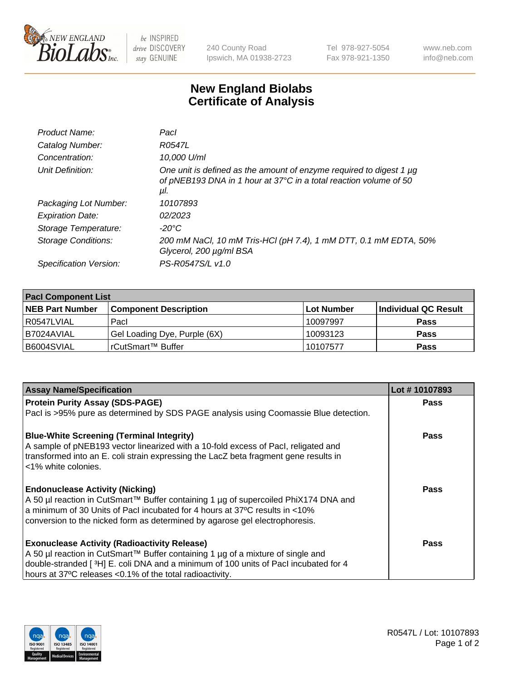

 $be$  INSPIRED drive DISCOVERY stay GENUINE

240 County Road Ipswich, MA 01938-2723 Tel 978-927-5054 Fax 978-921-1350 www.neb.com info@neb.com

## **New England Biolabs Certificate of Analysis**

| Product Name:           | Pacl                                                                                                                                            |
|-------------------------|-------------------------------------------------------------------------------------------------------------------------------------------------|
| Catalog Number:         | R0547L                                                                                                                                          |
| Concentration:          | 10,000 U/ml                                                                                                                                     |
| Unit Definition:        | One unit is defined as the amount of enzyme required to digest 1 µg<br>of pNEB193 DNA in 1 hour at 37°C in a total reaction volume of 50<br>μI. |
| Packaging Lot Number:   | 10107893                                                                                                                                        |
| <b>Expiration Date:</b> | 02/2023                                                                                                                                         |
| Storage Temperature:    | $-20^{\circ}$ C                                                                                                                                 |
| Storage Conditions:     | 200 mM NaCl, 10 mM Tris-HCl (pH 7.4), 1 mM DTT, 0.1 mM EDTA, 50%<br>Glycerol, 200 µg/ml BSA                                                     |
| Specification Version:  | PS-R0547S/L v1.0                                                                                                                                |

| <b>Pacl Component List</b> |                              |             |                      |  |  |
|----------------------------|------------------------------|-------------|----------------------|--|--|
| <b>NEB Part Number</b>     | <b>Component Description</b> | ∣Lot Number | Individual QC Result |  |  |
| R0547LVIAL                 | Pacl                         | 10097997    | <b>Pass</b>          |  |  |
| B7024AVIAL                 | Gel Loading Dye, Purple (6X) | 10093123    | <b>Pass</b>          |  |  |
| B6004SVIAL                 | rCutSmart™ Buffer            | 10107577    | <b>Pass</b>          |  |  |

| <b>Assay Name/Specification</b>                                                                                                                                                                   | Lot #10107893 |
|---------------------------------------------------------------------------------------------------------------------------------------------------------------------------------------------------|---------------|
| <b>Protein Purity Assay (SDS-PAGE)</b>                                                                                                                                                            | <b>Pass</b>   |
| PacI is >95% pure as determined by SDS PAGE analysis using Coomassie Blue detection.                                                                                                              |               |
| <b>Blue-White Screening (Terminal Integrity)</b>                                                                                                                                                  | <b>Pass</b>   |
| A sample of pNEB193 vector linearized with a 10-fold excess of Pacl, religated and<br>transformed into an E. coli strain expressing the LacZ beta fragment gene results in<br><1% white colonies. |               |
| <b>Endonuclease Activity (Nicking)</b>                                                                                                                                                            | <b>Pass</b>   |
| A 50 µl reaction in CutSmart™ Buffer containing 1 µg of supercoiled PhiX174 DNA and                                                                                                               |               |
| a minimum of 30 Units of Pacl incubated for 4 hours at 37°C results in <10%                                                                                                                       |               |
| conversion to the nicked form as determined by agarose gel electrophoresis.                                                                                                                       |               |
| <b>Exonuclease Activity (Radioactivity Release)</b>                                                                                                                                               | Pass          |
| A 50 µl reaction in CutSmart™ Buffer containing 1 µg of a mixture of single and                                                                                                                   |               |
| double-stranded [3H] E. coli DNA and a minimum of 100 units of Pacl incubated for 4                                                                                                               |               |
| hours at 37°C releases <0.1% of the total radioactivity.                                                                                                                                          |               |